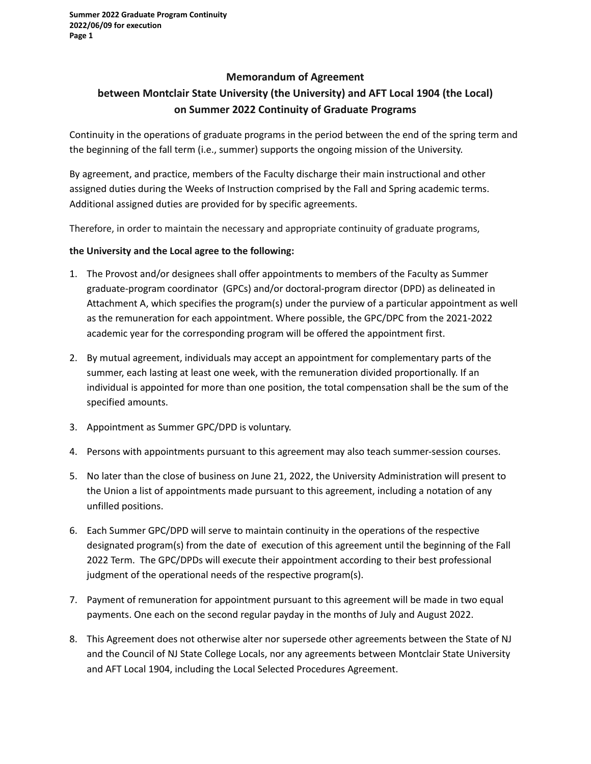## **Memorandum of Agreement**

## **between Montclair State University (the University) and AFT Local 1904 (the Local) on Summer 2022 Continuity of Graduate Programs**

Continuity in the operations of graduate programs in the period between the end of the spring term and the beginning of the fall term (i.e., summer) supports the ongoing mission of the University.

By agreement, and practice, members of the Faculty discharge their main instructional and other assigned duties during the Weeks of Instruction comprised by the Fall and Spring academic terms. Additional assigned duties are provided for by specific agreements.

Therefore, in order to maintain the necessary and appropriate continuity of graduate programs,

## **the University and the Local agree to the following:**

- 1. The Provost and/or designees shall offer appointments to members of the Faculty as Summer graduate-program coordinator (GPCs) and/or doctoral-program director (DPD) as delineated in Attachment A, which specifies the program(s) under the purview of a particular appointment as well as the remuneration for each appointment. Where possible, the GPC/DPC from the 2021-2022 academic year for the corresponding program will be offered the appointment first.
- 2. By mutual agreement, individuals may accept an appointment for complementary parts of the summer, each lasting at least one week, with the remuneration divided proportionally. If an individual is appointed for more than one position, the total compensation shall be the sum of the specified amounts.
- 3. Appointment as Summer GPC/DPD is voluntary.
- 4. Persons with appointments pursuant to this agreement may also teach summer-session courses.
- 5. No later than the close of business on June 21, 2022, the University Administration will present to the Union a list of appointments made pursuant to this agreement, including a notation of any unfilled positions.
- 6. Each Summer GPC/DPD will serve to maintain continuity in the operations of the respective designated program(s) from the date of execution of this agreement until the beginning of the Fall 2022 Term. The GPC/DPDs will execute their appointment according to their best professional judgment of the operational needs of the respective program(s).
- 7. Payment of remuneration for appointment pursuant to this agreement will be made in two equal payments. One each on the second regular payday in the months of July and August 2022.
- 8. This Agreement does not otherwise alter nor supersede other agreements between the State of NJ and the Council of NJ State College Locals, nor any agreements between Montclair State University and AFT Local 1904, including the Local Selected Procedures Agreement.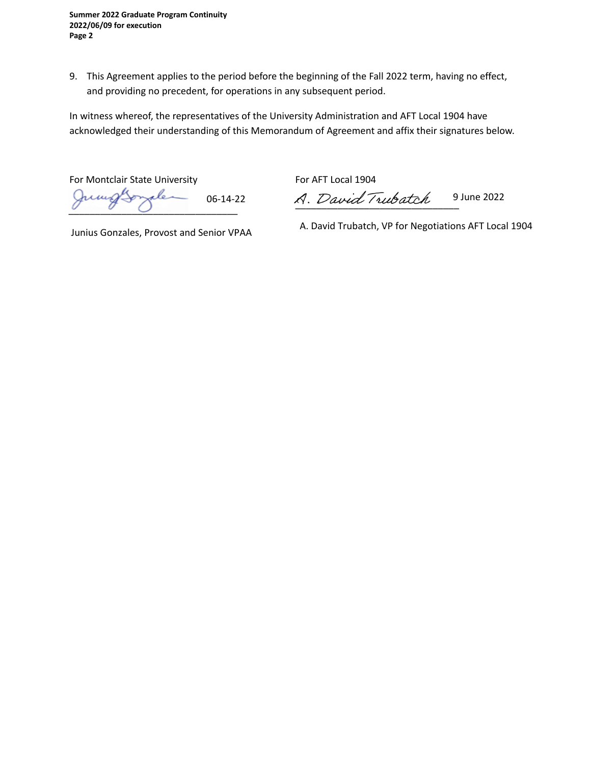**Summer 2022 Graduate Program Continuity 2022/06/09 for execution Page 2**

9. This Agreement applies to the period before the beginning of the Fall 2022 term, having no effect, and providing no precedent, for operations in any subsequent period.

In witness whereof, the representatives of the University Administration and AFT Local 1904 have acknowledged their understanding of this Memorandum of Agreement and affix their signatures below.

For Montclair State University For AFT Local 1904 Jumgsonale

06-14-22 A. David Trubatch 9 June 2022

Junius Gonzales, Provost and Senior VPAA

A. David Trubatch, VP for Negotiations AFT Local 1904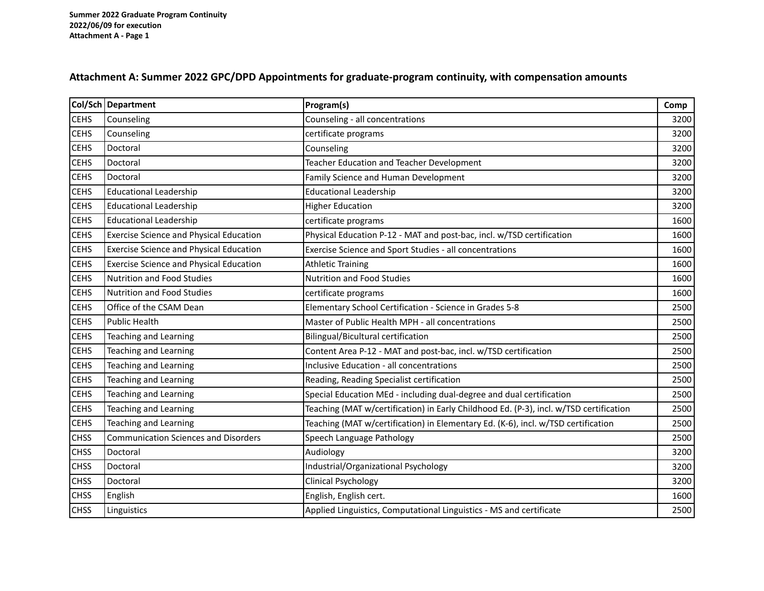## **Attachment A: Summer 2022 GPC/DPD Appointments for graduate-program continuity, with compensation amounts**

|             | Col/Sch Department                             | Program(s)                                                                             | Comp |
|-------------|------------------------------------------------|----------------------------------------------------------------------------------------|------|
| <b>CEHS</b> | Counseling                                     | Counseling - all concentrations                                                        | 3200 |
| <b>CEHS</b> | Counseling                                     | certificate programs                                                                   | 3200 |
| <b>CEHS</b> | Doctoral                                       | Counseling                                                                             | 3200 |
| <b>CEHS</b> | Doctoral                                       | Teacher Education and Teacher Development                                              | 3200 |
| <b>CEHS</b> | Doctoral                                       | Family Science and Human Development                                                   | 3200 |
| <b>CEHS</b> | <b>Educational Leadership</b>                  | <b>Educational Leadership</b>                                                          | 3200 |
| <b>CEHS</b> | <b>Educational Leadership</b>                  | <b>Higher Education</b>                                                                | 3200 |
| <b>CEHS</b> | <b>Educational Leadership</b>                  | certificate programs                                                                   | 1600 |
| <b>CEHS</b> | <b>Exercise Science and Physical Education</b> | Physical Education P-12 - MAT and post-bac, incl. w/TSD certification                  | 1600 |
| <b>CEHS</b> | <b>Exercise Science and Physical Education</b> | Exercise Science and Sport Studies - all concentrations                                | 1600 |
| <b>CEHS</b> | <b>Exercise Science and Physical Education</b> | <b>Athletic Training</b>                                                               | 1600 |
| <b>CEHS</b> | <b>Nutrition and Food Studies</b>              | <b>Nutrition and Food Studies</b>                                                      | 1600 |
| <b>CEHS</b> | <b>Nutrition and Food Studies</b>              | certificate programs                                                                   | 1600 |
| <b>CEHS</b> | Office of the CSAM Dean                        | Elementary School Certification - Science in Grades 5-8                                | 2500 |
| <b>CEHS</b> | <b>Public Health</b>                           | Master of Public Health MPH - all concentrations                                       | 2500 |
| <b>CEHS</b> | <b>Teaching and Learning</b>                   | <b>Bilingual/Bicultural certification</b>                                              | 2500 |
| <b>CEHS</b> | <b>Teaching and Learning</b>                   | Content Area P-12 - MAT and post-bac, incl. w/TSD certification                        | 2500 |
| <b>CEHS</b> | Teaching and Learning                          | Inclusive Education - all concentrations                                               | 2500 |
| <b>CEHS</b> | <b>Teaching and Learning</b>                   | Reading, Reading Specialist certification                                              | 2500 |
| <b>CEHS</b> | <b>Teaching and Learning</b>                   | Special Education MEd - including dual-degree and dual certification                   | 2500 |
| <b>CEHS</b> | <b>Teaching and Learning</b>                   | Teaching (MAT w/certification) in Early Childhood Ed. (P-3), incl. w/TSD certification | 2500 |
| <b>CEHS</b> | <b>Teaching and Learning</b>                   | Teaching (MAT w/certification) in Elementary Ed. (K-6), incl. w/TSD certification      | 2500 |
| <b>CHSS</b> | <b>Communication Sciences and Disorders</b>    | Speech Language Pathology                                                              | 2500 |
| <b>CHSS</b> | Doctoral                                       | Audiology                                                                              | 3200 |
| <b>CHSS</b> | Doctoral                                       | Industrial/Organizational Psychology                                                   | 3200 |
| <b>CHSS</b> | Doctoral                                       | <b>Clinical Psychology</b>                                                             | 3200 |
| <b>CHSS</b> | English                                        | English, English cert.                                                                 | 1600 |
| <b>CHSS</b> | Linguistics                                    | Applied Linguistics, Computational Linguistics - MS and certificate                    | 2500 |